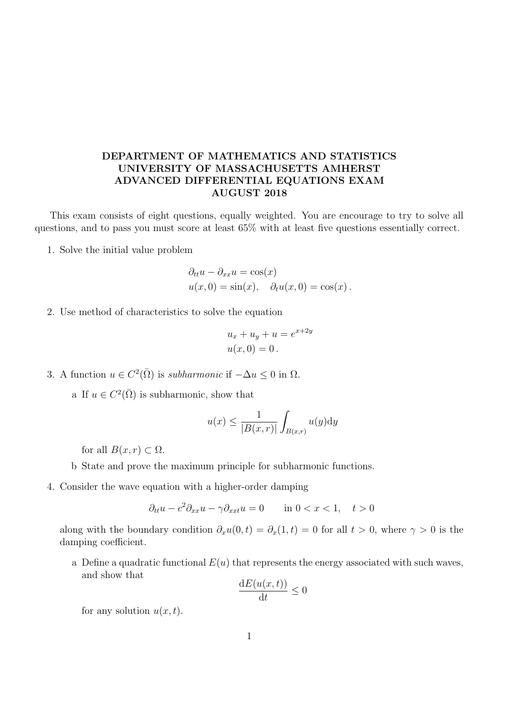## DEPARTMENT OF MATHEMATICS AND STATISTICS UNIVERSITY OF MASSACHUSETTS AMHERST ADVANCED DIFFERENTIAL EQUATIONS EXAM AUGUST 2018

This exam consists of eight questions, equally weighted. You are encourage to try to solve all questions, and to pass you must score at least 65% with at least five questions essentially correct.

1. Solve the initial value problem

$$
\partial_{tt}u - \partial_{xx}u = \cos(x)
$$
  
 
$$
u(x, 0) = \sin(x), \quad \partial_t u(x, 0) = \cos(x).
$$

2. Use method of characteristics to solve the equation

$$
u_x + u_y + u = e^{x+2y}
$$
  

$$
u(x, 0) = 0.
$$

3. A function  $u \in C^2(\overline{\Omega})$  is *subharmonic* if  $-\Delta u \leq 0$  in  $\Omega$ .

a If  $u \in C^2(\overline{\Omega})$  is subharmonic, show that

$$
u(x) \le \frac{1}{|B(x,r)|} \int_{B(x,r)} u(y) \mathrm{d}y
$$

for all  $B(x, r) \subset \Omega$ .

b State and prove the maximum principle for subharmonic functions.

4. Consider the wave equation with a higher-order damping

$$
\partial_{tt}u - c^2 \partial_{xx}u - \gamma \partial_{xxt}u = 0 \quad \text{in } 0 < x < 1, \quad t > 0
$$

along with the boundary condition  $\partial_x u(0,t) = \partial_x(1,t) = 0$  for all  $t > 0$ , where  $\gamma > 0$  is the damping coefficient.

a Define a quadratic functional  $E(u)$  that represents the energy associated with such waves, and show that

$$
\frac{\mathrm{d}E(u(x,t))}{\mathrm{d}t} \le 0
$$

for any solution  $u(x, t)$ .